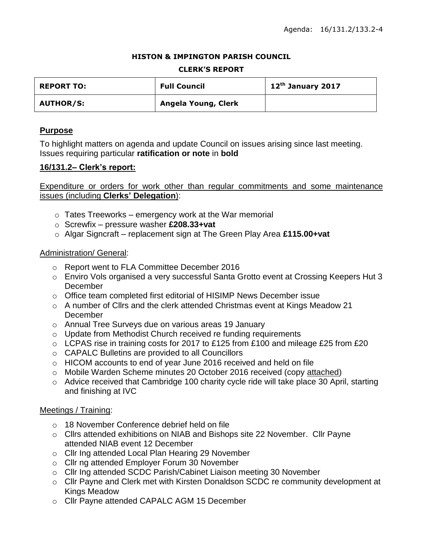#### **HISTON & IMPINGTON PARISH COUNCIL**

#### **CLERK'S REPORT**

| <b>REPORT TO:</b> | <b>Full Council</b> | 12 <sup>th</sup> January 2017 |
|-------------------|---------------------|-------------------------------|
| <b>AUTHOR/S:</b>  | Angela Young, Clerk |                               |

### **Purpose**

To highlight matters on agenda and update Council on issues arising since last meeting. Issues requiring particular **ratification or note** in **bold**

### **16/131.2– Clerk's report:**

Expenditure or orders for work other than regular commitments and some maintenance issues (including **Clerks' Delegation**):

- $\circ$  Tates Treeworks emergency work at the War memorial
- o Screwfix pressure washer **£208.33+vat**
- o Algar Signcraft replacement sign at The Green Play Area **£115.00+vat**

#### Administration/ General:

- o Report went to FLA Committee December 2016
- o Enviro Vols organised a very successful Santa Grotto event at Crossing Keepers Hut 3 **December**
- o Office team completed first editorial of HISIMP News December issue
- o A number of Cllrs and the clerk attended Christmas event at Kings Meadow 21 **December**
- o Annual Tree Surveys due on various areas 19 January
- o Update from Methodist Church received re funding requirements
- o LCPAS rise in training costs for 2017 to £125 from £100 and mileage £25 from £20
- o CAPALC Bulletins are provided to all Councillors
- o HICOM accounts to end of year June 2016 received and held on file
- o Mobile Warden Scheme minutes 20 October 2016 received (copy attached)
- o Advice received that Cambridge 100 charity cycle ride will take place 30 April, starting and finishing at IVC

#### Meetings / Training:

- o 18 November Conference debrief held on file
- o Cllrs attended exhibitions on NIAB and Bishops site 22 November. Cllr Payne attended NIAB event 12 December
- o Cllr Ing attended Local Plan Hearing 29 November
- o Cllr ng attended Employer Forum 30 November
- o Cllr Ing attended SCDC Parish/Cabinet Liaison meeting 30 November
- o Cllr Payne and Clerk met with Kirsten Donaldson SCDC re community development at Kings Meadow
- o Cllr Payne attended CAPALC AGM 15 December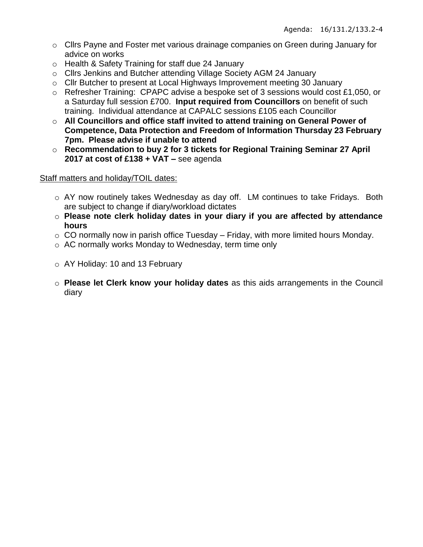- o Cllrs Payne and Foster met various drainage companies on Green during January for advice on works
- o Health & Safety Training for staff due 24 January
- o Cllrs Jenkins and Butcher attending Village Society AGM 24 January
- o Cllr Butcher to present at Local Highways Improvement meeting 30 January
- o Refresher Training: CPAPC advise a bespoke set of 3 sessions would cost £1,050, or a Saturday full session £700. **Input required from Councillors** on benefit of such training. Individual attendance at CAPALC sessions £105 each Councillor
- o **All Councillors and office staff invited to attend training on General Power of Competence, Data Protection and Freedom of Information Thursday 23 February 7pm. Please advise if unable to attend**
- o **Recommendation to buy 2 for 3 tickets for Regional Training Seminar 27 April 2017 at cost of £138 + VAT –** see agenda

## Staff matters and holiday/TOIL dates:

- o AY now routinely takes Wednesday as day off. LM continues to take Fridays. Both are subject to change if diary/workload dictates
- o **Please note clerk holiday dates in your diary if you are affected by attendance hours**
- $\circ$  CO normally now in parish office Tuesday Friday, with more limited hours Monday.
- o AC normally works Monday to Wednesday, term time only
- o AY Holiday: 10 and 13 February
- o **Please let Clerk know your holiday dates** as this aids arrangements in the Council diary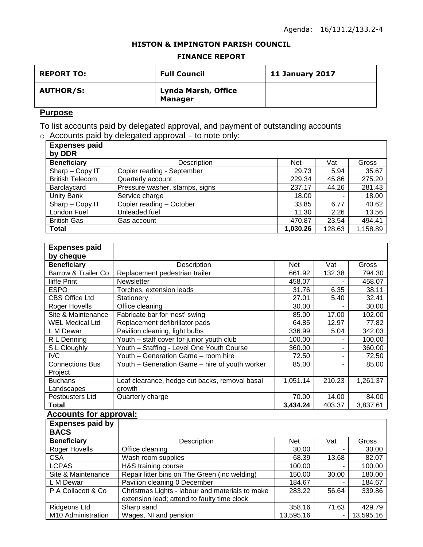#### **HISTON & IMPINGTON PARISH COUNCIL**

#### **FINANCE REPORT**

| <b>REPORT TO:</b> | <b>Full Council</b>                   | 11 January 2017 |
|-------------------|---------------------------------------|-----------------|
| <b>AUTHOR/S:</b>  | Lynda Marsh, Office<br><b>Manager</b> |                 |

## **Purpose**

To list accounts paid by delegated approval, and payment of outstanding accounts  $\circ$  Accounts paid by delegated approval – to note only:

| <b>Expenses paid</b><br>by DDR |                                |            |        |          |
|--------------------------------|--------------------------------|------------|--------|----------|
| <b>Beneficiary</b>             | Description                    | <b>Net</b> | Vat    | Gross    |
| Sharp - Copy IT                | Copier reading - September     | 29.73      | 5.94   | 35.67    |
| <b>British Telecom</b>         | Quarterly account              | 229.34     | 45.86  | 275.20   |
| Barclaycard                    | Pressure washer, stamps, signs | 237.17     | 44.26  | 281.43   |
| <b>Unity Bank</b>              | Service charge                 | 18.00      |        | 18.00    |
| Sharp - Copy IT                | Copier reading - October       | 33.85      | 6.77   | 40.62    |
| London Fuel                    | Unleaded fuel                  | 11.30      | 2.26   | 13.56    |
| <b>British Gas</b>             | Gas account                    | 470.87     | 23.54  | 494.41   |
| <b>Total</b>                   |                                | 1,030.26   | 128.63 | 1,158.89 |

| <b>Expenses paid</b>   |                                                |          |        |          |
|------------------------|------------------------------------------------|----------|--------|----------|
| by cheque              |                                                |          |        |          |
| <b>Beneficiary</b>     | Description                                    | Net      | Vat    | Gross    |
| Barrow & Trailer Co    | Replacement pedestrian trailer                 | 661.92   | 132.38 | 794.30   |
| <b>Iliffe Print</b>    | <b>Newsletter</b>                              | 458.07   |        | 458.07   |
| <b>ESPO</b>            | Torches, extension leads                       | 31.76    | 6.35   | 38.11    |
| <b>CBS Office Ltd</b>  | Stationery                                     | 27.01    | 5.40   | 32.41    |
| Roger Hovells          | Office cleaning                                | 30.00    | ۰      | 30.00    |
| Site & Maintenance     | Fabricate bar for 'nest' swing                 | 85.00    | 17.00  | 102.00   |
| <b>WEL Medical Ltd</b> | Replacement defibrillator pads                 | 64.85    | 12.97  | 77.82    |
| L M Dewar              | Pavilion cleaning, light bulbs                 | 336.99   | 5.04   | 342.03   |
| R L Denning            | Youth - staff cover for junior youth club      | 100.00   |        | 100.00   |
| S L Cloughly           | Youth - Staffing - Level One Youth Course      | 360.00   |        | 360.00   |
| IVC                    | Youth - Generation Game - room hire            | 72.50    |        | 72.50    |
| <b>Connections Bus</b> | Youth - Generation Game - hire of youth worker | 85.00    |        | 85.00    |
| Project                |                                                |          |        |          |
| <b>Buchans</b>         | Leaf clearance, hedge cut backs, removal basal | 1,051.14 | 210.23 | 1,261.37 |
| Landscapes             | growth                                         |          |        |          |
| Pestbusters Ltd        | Quarterly charge                               | 70.00    | 14.00  | 84.00    |
| Total                  |                                                | 3,434.24 | 403.37 | 3,837.61 |

## **Accounts for approval:**

| <b>Expenses paid by</b><br><b>BACS</b> |                                                                                                |            |       |           |
|----------------------------------------|------------------------------------------------------------------------------------------------|------------|-------|-----------|
| <b>Beneficiary</b>                     | Description                                                                                    | <b>Net</b> | Vat   | Gross     |
| Roger Hovells                          | Office cleaning                                                                                | 30.00      |       | 30.00     |
| <b>CSA</b>                             | Wash room supplies                                                                             | 68.39      | 13.68 | 82.07     |
| <b>LCPAS</b>                           | H&S training course                                                                            | 100.00     |       | 100.00    |
| Site & Maintenance                     | Repair litter bins on The Green (inc welding)                                                  | 150.00     | 30.00 | 180.00    |
| L M Dewar                              | Pavilion cleaning 0 December                                                                   | 184.67     |       | 184.67    |
| P A Collacott & Co                     | Christmas Lights - labour and materials to make<br>extension lead; attend to faulty time clock | 283.22     | 56.64 | 339.86    |
| Ridgeons Ltd                           | Sharp sand                                                                                     | 358.16     | 71.63 | 429.79    |
| M10 Administration                     | Wages, NI and pension                                                                          | 13,595.16  | Ξ.    | 13,595.16 |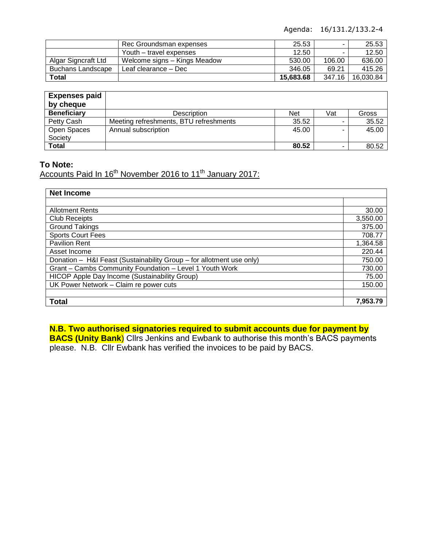Agenda: 16/131.2/133.2-4

|                          | Rec Groundsman expenses      | 25.53     |        | 25.53     |
|--------------------------|------------------------------|-----------|--------|-----------|
|                          | Youth – travel expenses      | 12.50     |        | 12.50     |
| Algar Signcraft Ltd      | Welcome signs – Kings Meadow | 530.00    | 106.00 | 636.00    |
| <b>Buchans Landscape</b> | Leaf clearance – Dec         | 346.05    | 69.21  | 415.26    |
| Total                    |                              | 15.683.68 | 347.16 | 16.030.84 |

| <b>Expenses paid</b><br>by cheque |                                        |            |     |       |
|-----------------------------------|----------------------------------------|------------|-----|-------|
| <b>Beneficiary</b>                | <b>Description</b>                     | <b>Net</b> | Vat | Gross |
| Petty Cash                        | Meeting refreshments, BTU refreshments | 35.52      |     | 35.52 |
| Open Spaces                       | Annual subscription                    | 45.00      |     | 45.00 |
| Society                           |                                        |            |     |       |
| <b>Total</b>                      |                                        | 80.52      |     | 80.52 |

### **To Note:**

Accounts Paid In 16<sup>th</sup> November 2016 to 11<sup>th</sup> January 2017:

| <b>Net Income</b>                                                    |          |  |
|----------------------------------------------------------------------|----------|--|
|                                                                      |          |  |
| <b>Allotment Rents</b>                                               | 30.00    |  |
| <b>Club Receipts</b>                                                 | 3,550.00 |  |
| <b>Ground Takings</b>                                                | 375.00   |  |
| <b>Sports Court Fees</b>                                             | 708.77   |  |
| <b>Pavilion Rent</b>                                                 | 1,364.58 |  |
| Asset Income                                                         | 220.44   |  |
| Donation - H&I Feast (Sustainability Group - for allotment use only) |          |  |
| Grant - Cambs Community Foundation - Level 1 Youth Work              |          |  |
| HICOP Apple Day Income (Sustainability Group)                        |          |  |
| UK Power Network - Claim re power cuts                               |          |  |
|                                                                      |          |  |
| <b>Total</b>                                                         | 7,953.79 |  |

# **N.B. Two authorised signatories required to submit accounts due for payment by**

**BACS (Unity Bank**) Cllrs Jenkins and Ewbank to authorise this month's BACS payments please. N.B. Cllr Ewbank has verified the invoices to be paid by BACS.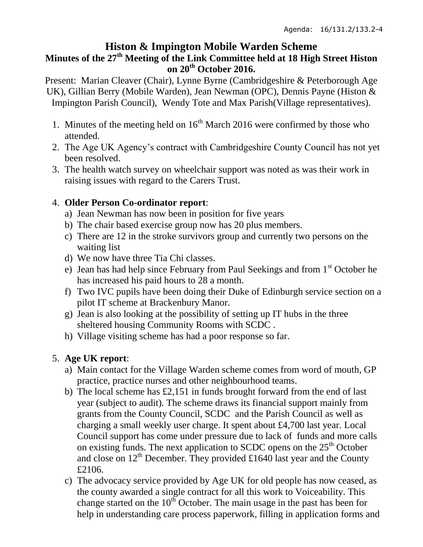# **Histon & Impington Mobile Warden Scheme**

# **Minutes of the 27th Meeting of the Link Committee held at 18 High Street Histon on 20th October 2016.**

Present: Marian Cleaver (Chair), Lynne Byrne (Cambridgeshire & Peterborough Age UK), Gillian Berry (Mobile Warden), Jean Newman (OPC), Dennis Payne (Histon & Impington Parish Council), Wendy Tote and Max Parish(Village representatives).

- 1. Minutes of the meeting held on  $16<sup>th</sup>$  March 2016 were confirmed by those who attended.
- 2. The Age UK Agency's contract with Cambridgeshire County Council has not yet been resolved.
- 3. The health watch survey on wheelchair support was noted as was their work in raising issues with regard to the Carers Trust.

# 4. **Older Person Co-ordinator report**:

- a) Jean Newman has now been in position for five years
- b) The chair based exercise group now has 20 plus members.
- c) There are 12 in the stroke survivors group and currently two persons on the waiting list
- d) We now have three Tia Chi classes.
- e) Jean has had help since February from Paul Seekings and from  $1<sup>st</sup>$  October he has increased his paid hours to 28 a month.
- f) Two IVC pupils have been doing their Duke of Edinburgh service section on a pilot IT scheme at Brackenbury Manor.
- g) Jean is also looking at the possibility of setting up IT hubs in the three sheltered housing Community Rooms with SCDC .
- h) Village visiting scheme has had a poor response so far.

# 5. **Age UK report**:

- a) Main contact for the Village Warden scheme comes from word of mouth, GP practice, practice nurses and other neighbourhood teams.
- b) The local scheme has £2,151 in funds brought forward from the end of last year (subject to audit). The scheme draws its financial support mainly from grants from the County Council, SCDC and the Parish Council as well as charging a small weekly user charge. It spent about £4,700 last year. Local Council support has come under pressure due to lack of funds and more calls on existing funds. The next application to SCDC opens on the 25<sup>th</sup> October and close on  $12^{th}$  December. They provided £1640 last year and the County £2106.
- c) The advocacy service provided by Age UK for old people has now ceased, as the county awarded a single contract for all this work to Voiceability. This change started on the  $10<sup>th</sup>$  October. The main usage in the past has been for help in understanding care process paperwork, filling in application forms and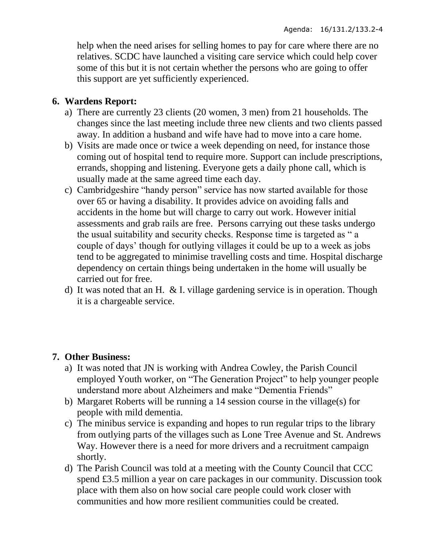help when the need arises for selling homes to pay for care where there are no relatives. SCDC have launched a visiting care service which could help cover some of this but it is not certain whether the persons who are going to offer this support are yet sufficiently experienced.

# **6. Wardens Report:**

- a) There are currently 23 clients (20 women, 3 men) from 21 households. The changes since the last meeting include three new clients and two clients passed away. In addition a husband and wife have had to move into a care home.
- b) Visits are made once or twice a week depending on need, for instance those coming out of hospital tend to require more. Support can include prescriptions, errands, shopping and listening. Everyone gets a daily phone call, which is usually made at the same agreed time each day.
- c) Cambridgeshire "handy person" service has now started available for those over 65 or having a disability. It provides advice on avoiding falls and accidents in the home but will charge to carry out work. However initial assessments and grab rails are free. Persons carrying out these tasks undergo the usual suitability and security checks. Response time is targeted as " a couple of days' though for outlying villages it could be up to a week as jobs tend to be aggregated to minimise travelling costs and time. Hospital discharge dependency on certain things being undertaken in the home will usually be carried out for free.
- d) It was noted that an H. & I. village gardening service is in operation. Though it is a chargeable service.

## **7. Other Business:**

- a) It was noted that JN is working with Andrea Cowley, the Parish Council employed Youth worker, on "The Generation Project" to help younger people understand more about Alzheimers and make "Dementia Friends"
- b) Margaret Roberts will be running a 14 session course in the village(s) for people with mild dementia.
- c) The minibus service is expanding and hopes to run regular trips to the library from outlying parts of the villages such as Lone Tree Avenue and St. Andrews Way. However there is a need for more drivers and a recruitment campaign shortly.
- d) The Parish Council was told at a meeting with the County Council that CCC spend £3.5 million a year on care packages in our community. Discussion took place with them also on how social care people could work closer with communities and how more resilient communities could be created.